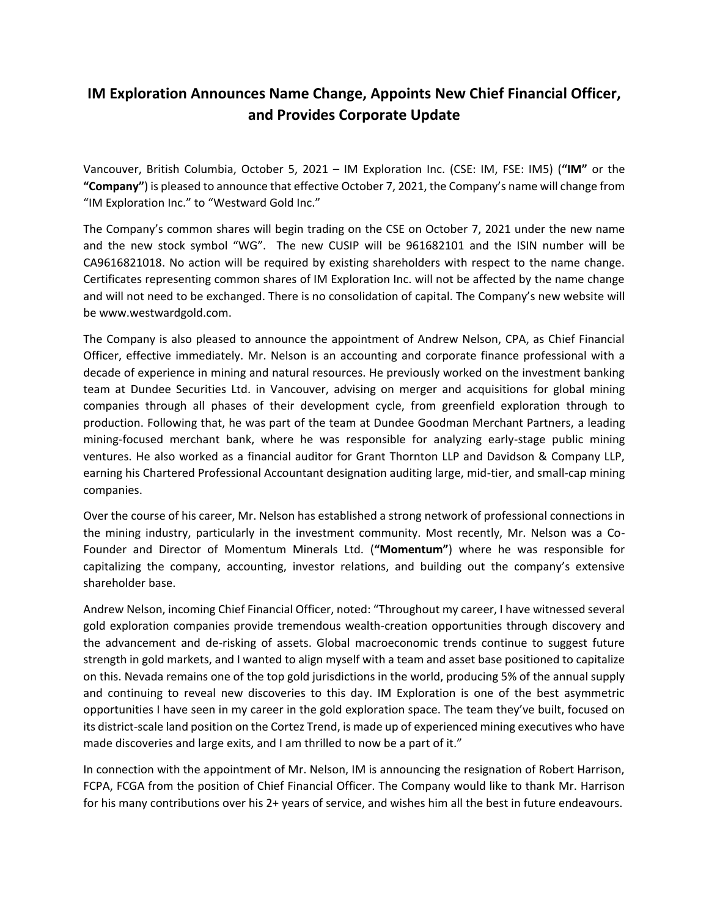# **IM Exploration Announces Name Change, Appoints New Chief Financial Officer, and Provides Corporate Update**

Vancouver, British Columbia, October 5, 2021 – IM Exploration Inc. (CSE: IM, FSE: IM5) (**"IM"** or the **"Company"**) is pleased to announce that effective October 7, 2021, the Company's name will change from "IM Exploration Inc." to "Westward Gold Inc."

The Company's common shares will begin trading on the CSE on October 7, 2021 under the new name and the new stock symbol "WG". The new CUSIP will be 961682101 and the ISIN number will be CA9616821018. No action will be required by existing shareholders with respect to the name change. Certificates representing common shares of IM Exploration Inc. will not be affected by the name change and will not need to be exchanged. There is no consolidation of capital. The Company's new website will be www.westwardgold.com.

The Company is also pleased to announce the appointment of Andrew Nelson, CPA, as Chief Financial Officer, effective immediately. Mr. Nelson is an accounting and corporate finance professional with a decade of experience in mining and natural resources. He previously worked on the investment banking team at Dundee Securities Ltd. in Vancouver, advising on merger and acquisitions for global mining companies through all phases of their development cycle, from greenfield exploration through to production. Following that, he was part of the team at Dundee Goodman Merchant Partners, a leading mining-focused merchant bank, where he was responsible for analyzing early-stage public mining ventures. He also worked as a financial auditor for Grant Thornton LLP and Davidson & Company LLP, earning his Chartered Professional Accountant designation auditing large, mid-tier, and small-cap mining companies.

Over the course of his career, Mr. Nelson has established a strong network of professional connections in the mining industry, particularly in the investment community. Most recently, Mr. Nelson was a Co-Founder and Director of Momentum Minerals Ltd. (**"Momentum"**) where he was responsible for capitalizing the company, accounting, investor relations, and building out the company's extensive shareholder base.

Andrew Nelson, incoming Chief Financial Officer, noted: "Throughout my career, I have witnessed several gold exploration companies provide tremendous wealth-creation opportunities through discovery and the advancement and de-risking of assets. Global macroeconomic trends continue to suggest future strength in gold markets, and I wanted to align myself with a team and asset base positioned to capitalize on this. Nevada remains one of the top gold jurisdictions in the world, producing 5% of the annual supply and continuing to reveal new discoveries to this day. IM Exploration is one of the best asymmetric opportunities I have seen in my career in the gold exploration space. The team they've built, focused on its district-scale land position on the Cortez Trend, is made up of experienced mining executives who have made discoveries and large exits, and I am thrilled to now be a part of it."

In connection with the appointment of Mr. Nelson, IM is announcing the resignation of Robert Harrison, FCPA, FCGA from the position of Chief Financial Officer. The Company would like to thank Mr. Harrison for his many contributions over his 2+ years of service, and wishes him all the best in future endeavours.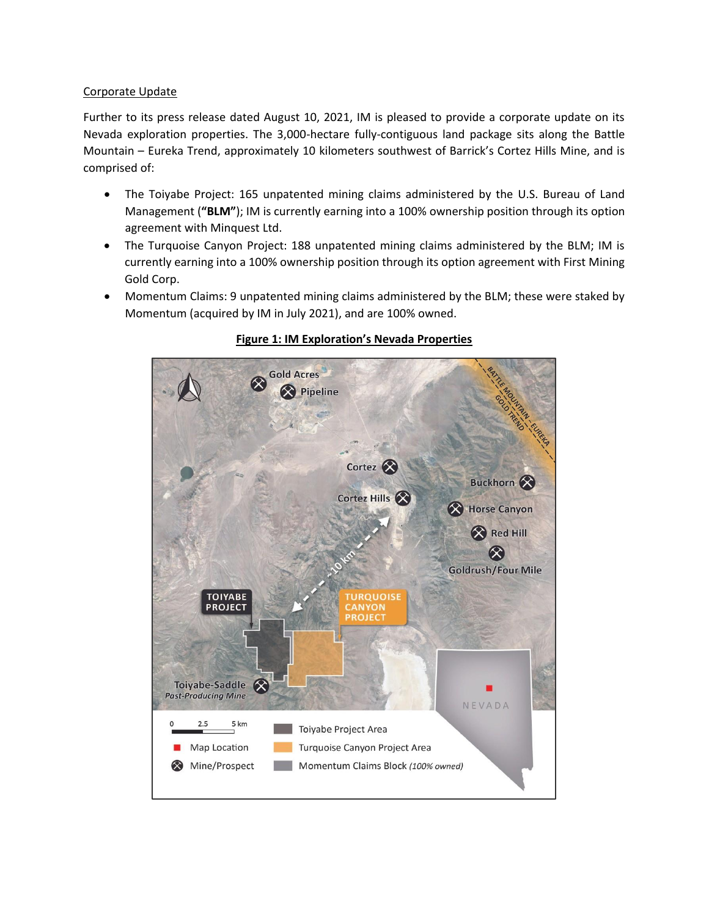## Corporate Update

Further to its press release dated August 10, 2021, IM is pleased to provide a corporate update on its Nevada exploration properties. The 3,000-hectare fully-contiguous land package sits along the Battle Mountain – Eureka Trend, approximately 10 kilometers southwest of Barrick's Cortez Hills Mine, and is comprised of:

- The Toiyabe Project: 165 unpatented mining claims administered by the U.S. Bureau of Land Management (**"BLM"**); IM is currently earning into a 100% ownership position through its option agreement with Minquest Ltd.
- The Turquoise Canyon Project: 188 unpatented mining claims administered by the BLM; IM is currently earning into a 100% ownership position through its option agreement with First Mining Gold Corp.
- Momentum Claims: 9 unpatented mining claims administered by the BLM; these were staked by Momentum (acquired by IM in July 2021), and are 100% owned.



## **Figure 1: IM Exploration's Nevada Properties**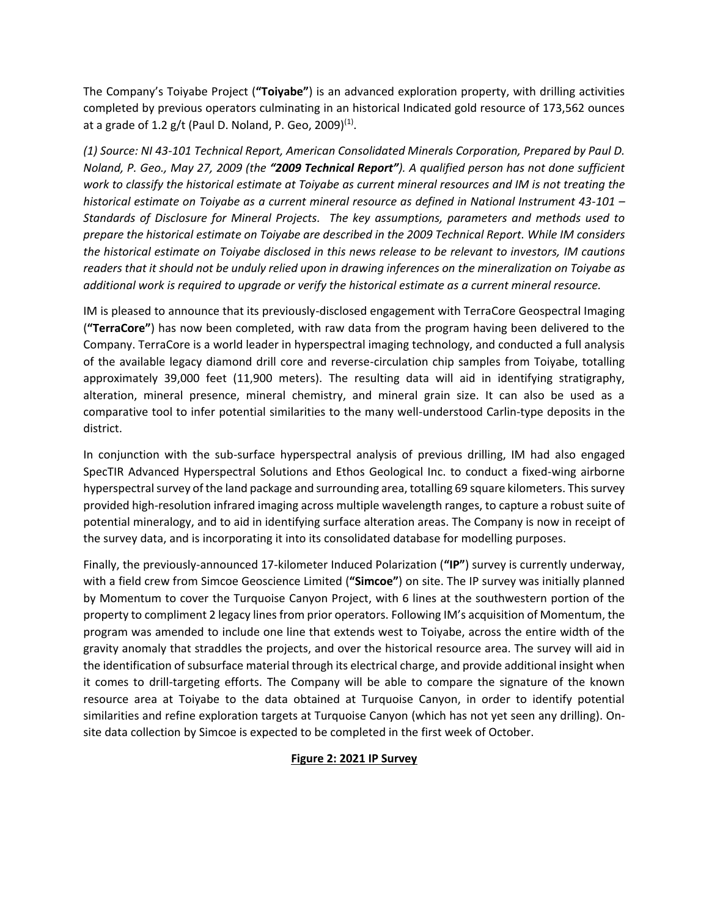The Company's Toiyabe Project (**"Toiyabe"**) is an advanced exploration property, with drilling activities completed by previous operators culminating in an historical Indicated gold resource of 173,562 ounces at a grade of 1.2 g/t (Paul D. Noland, P. Geo, 2009)<sup>(1)</sup>.

*(1) Source: NI 43-101 Technical Report, American Consolidated Minerals Corporation, Prepared by Paul D. Noland, P. Geo., May 27, 2009 (the "2009 Technical Report"). A qualified person has not done sufficient work to classify the historical estimate at Toiyabe as current mineral resources and IM is not treating the historical estimate on Toiyabe as a current mineral resource as defined in National Instrument 43-101 – Standards of Disclosure for Mineral Projects. The key assumptions, parameters and methods used to prepare the historical estimate on Toiyabe are described in the 2009 Technical Report. While IM considers the historical estimate on Toiyabe disclosed in this news release to be relevant to investors, IM cautions readers that it should not be unduly relied upon in drawing inferences on the mineralization on Toiyabe as additional work is required to upgrade or verify the historical estimate as a current mineral resource.*

IM is pleased to announce that its previously-disclosed engagement with TerraCore Geospectral Imaging (**"TerraCore"**) has now been completed, with raw data from the program having been delivered to the Company. TerraCore is a world leader in hyperspectral imaging technology, and conducted a full analysis of the available legacy diamond drill core and reverse-circulation chip samples from Toiyabe, totalling approximately 39,000 feet (11,900 meters). The resulting data will aid in identifying stratigraphy, alteration, mineral presence, mineral chemistry, and mineral grain size. It can also be used as a comparative tool to infer potential similarities to the many well-understood Carlin-type deposits in the district.

In conjunction with the sub-surface hyperspectral analysis of previous drilling, IM had also engaged SpecTIR Advanced Hyperspectral Solutions and Ethos Geological Inc. to conduct a fixed-wing airborne hyperspectral survey of the land package and surrounding area, totalling 69 square kilometers. This survey provided high-resolution infrared imaging across multiple wavelength ranges, to capture a robust suite of potential mineralogy, and to aid in identifying surface alteration areas. The Company is now in receipt of the survey data, and is incorporating it into its consolidated database for modelling purposes.

Finally, the previously-announced 17-kilometer Induced Polarization (**"IP"**) survey is currently underway, with a field crew from Simcoe Geoscience Limited (**"Simcoe"**) on site. The IP survey was initially planned by Momentum to cover the Turquoise Canyon Project, with 6 lines at the southwestern portion of the property to compliment 2 legacy lines from prior operators. Following IM's acquisition of Momentum, the program was amended to include one line that extends west to Toiyabe, across the entire width of the gravity anomaly that straddles the projects, and over the historical resource area. The survey will aid in the identification of subsurface material through its electrical charge, and provide additional insight when it comes to drill-targeting efforts. The Company will be able to compare the signature of the known resource area at Toiyabe to the data obtained at Turquoise Canyon, in order to identify potential similarities and refine exploration targets at Turquoise Canyon (which has not yet seen any drilling). Onsite data collection by Simcoe is expected to be completed in the first week of October.

# **Figure 2: 2021 IP Survey**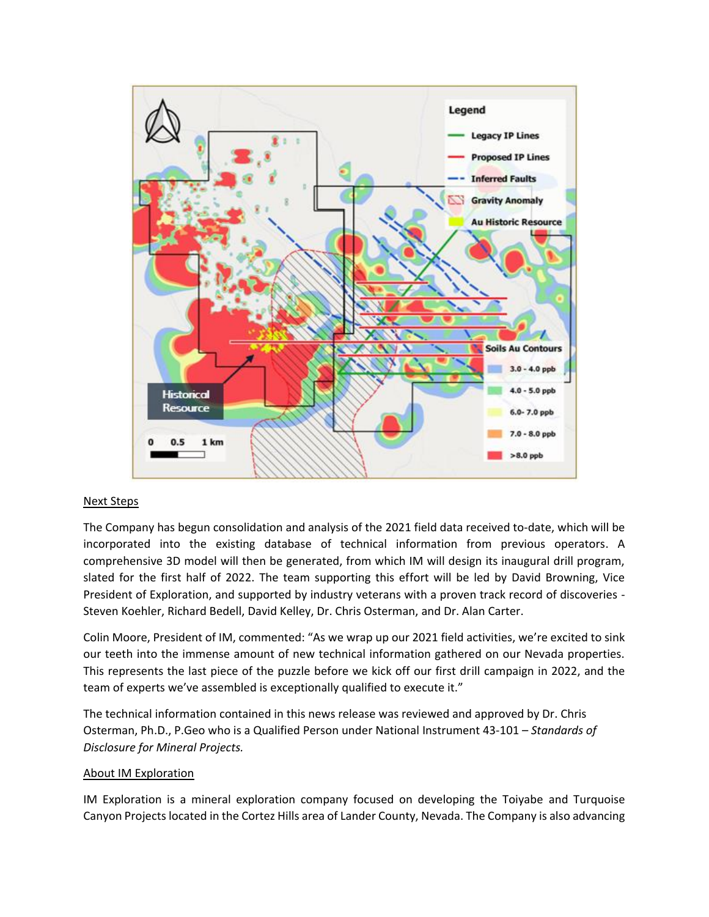

### Next Steps

The Company has begun consolidation and analysis of the 2021 field data received to-date, which will be incorporated into the existing database of technical information from previous operators. A comprehensive 3D model will then be generated, from which IM will design its inaugural drill program, slated for the first half of 2022. The team supporting this effort will be led by David Browning, Vice President of Exploration, and supported by industry veterans with a proven track record of discoveries - Steven Koehler, Richard Bedell, David Kelley, Dr. Chris Osterman, and Dr. Alan Carter.

Colin Moore, President of IM, commented: "As we wrap up our 2021 field activities, we're excited to sink our teeth into the immense amount of new technical information gathered on our Nevada properties. This represents the last piece of the puzzle before we kick off our first drill campaign in 2022, and the team of experts we've assembled is exceptionally qualified to execute it."

The technical information contained in this news release was reviewed and approved by Dr. Chris Osterman, Ph.D., P.Geo who is a Qualified Person under National Instrument 43-101 – *Standards of Disclosure for Mineral Projects.*

### About IM Exploration

IM Exploration is a mineral exploration company focused on developing the Toiyabe and Turquoise Canyon Projects located in the Cortez Hills area of Lander County, Nevada. The Company is also advancing